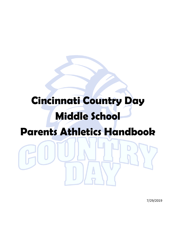# **Cincinnati Country Day Middle School Parents Athletics Handbook**

7/29/2019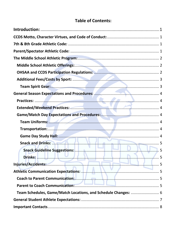## **Table of Contents:**

| Team Uniforms: 4                                                                                                                                                                                                               |  |
|--------------------------------------------------------------------------------------------------------------------------------------------------------------------------------------------------------------------------------|--|
|                                                                                                                                                                                                                                |  |
|                                                                                                                                                                                                                                |  |
| Snack and Drinks: New York 1988, 1999, 1999, 1999, 1999, 1999, 1999, 1999, 1999, 1999, 1999, 1999, 1999, 1999, 1999, 1999, 1999, 1999, 1999, 1999, 1999, 1999, 1999, 1999, 1999, 1999, 1999, 1999, 1999, 1999, 1999, 1999, 199 |  |
| Snack Guideline Suggestions: <b>Manual Accord Snack Guideline Suggestions:</b> 5                                                                                                                                               |  |
|                                                                                                                                                                                                                                |  |
| Injuries/Accidents: 5                                                                                                                                                                                                          |  |
| Athletic Communication Expectations: Maria Maria Maria Strategy of Tanah Strategy of Tanah Strategy of Tanah S                                                                                                                 |  |
|                                                                                                                                                                                                                                |  |
|                                                                                                                                                                                                                                |  |
| Team Schedules, Game/Match Locations, and Schedule Changes:  6                                                                                                                                                                 |  |
|                                                                                                                                                                                                                                |  |
|                                                                                                                                                                                                                                |  |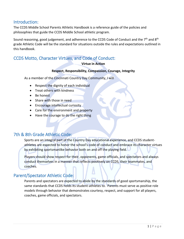#### <span id="page-2-0"></span>Introduction:

The CCDS Middle School Parents Athletic Handbook is a reference guide of the policies and philosophies that guide the CCDS Middle School athletic program.

Sound reasoning, good judgement, and adherence to the CCDS Code of Conduct and the  $7<sup>th</sup>$  and  $8<sup>th</sup>$ grade Athletic Code will be the standard for situations outside the rules and expectations outlined in this handbook.

## <span id="page-2-1"></span>CCDS Motto, Character Virtues, and Code of Conduct:

#### **Virtue in Action**

#### **Respect, Responsibility, Compassion, Courage, Integrity**

As a member of the Cincinnati Country Day Community, I will

- Respect the dignity of each individual
- Treat others with kindness
- Be honest
- Share with those in need
- Encourage intellectual curiosity
- Care for the environment and property
- Have the courage to do the right thing

#### <span id="page-2-2"></span>7th & 8th Grade Athletic Code:

Sports are an integral part of the Country Day educational experience, and CCDS studentathletes are expected to honor the school's code of conduct and embrace its character virtues by exhibiting sportsmanlike behavior both on and off the playing field.

Players should show respect for their, opponents, game officials, and spectators and always conduct themselves in a manner that reflects positively on CCDS, their teammates, and coaches.

#### <span id="page-2-3"></span>Parent/Spectator Athletic Code:

Parents and spectators are expected to abide by the standards of good sportsmanship, the same standards that CCDS holds its student-athletes to. Parents must serve as positive role models through behavior that demonstrates courtesy, respect, and support for all players, coaches, game officials, and spectators.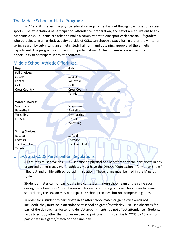### <span id="page-3-0"></span>The Middle School Athletic Program:

In  $7<sup>th</sup>$  and  $8<sup>th</sup>$  grades, the physical education requirement is met through participation in team sports. The expectations of participation, attendance, preparation, and effort are equivalent to any academic class. Students are asked to make a commitment to one sport each season. 8<sup>th</sup> graders who participate in an athletic activity outside of CCDS can choose a study hall in either the winter or spring season by submitting an athletic study hall form and obtaining approval of the athletic department. The program's emphasis is on participation. All team members are given the opportunity to participate in athletic contests.

| <b>Boys</b>            | <b>Girls</b>           |
|------------------------|------------------------|
| <b>Fall Choices:</b>   |                        |
| Soccer                 | Soccer                 |
| Football               | Volleyball             |
| Golf                   | Golf                   |
| <b>Cross Country</b>   | <b>Cross Country</b>   |
|                        | Tennis                 |
|                        |                        |
| <b>Winter Choices:</b> |                        |
| Swimming               | Swimming               |
| Basketball             | <b>Basketball</b>      |
| Wrestling              | Gymnastics             |
| F.A.S.T.               | <b>F.A.S.T.</b>        |
|                        | Wrestling              |
|                        |                        |
| <b>Spring Choices:</b> |                        |
| Baseball               | Softball               |
| Lacrosse               | Lacrosse               |
| <b>Track and Field</b> | <b>Track and Field</b> |
| <b>Tennis</b>          |                        |
|                        |                        |

#### <span id="page-3-1"></span>Middle School Athletic Offerings:

#### <span id="page-3-2"></span>OHSAA and CCDS Participation Regulations:

All athletes must have an OHSAA sanctioned physical on file before they can participate in any organized athletic activity. All athletes must have the OHSAA "Concussion Information Sheet" filled out and on file with school administration. These forms must be filed in the Magnus system.

Student athletes cannot participate in a contest with non-school team of the same sport during the school team's sport season. Students competing on non-school team for same sport during the season may participate in school practices, but not compete in games.

In order for a student to participate in an after school match or game (weekends not included), they must be in attendance at school on game/match day. Excused absences for part of the day such as doctor and dentist appointments, do not affect attendance. Students tardy to school, other than for an excused appointment, must arrive to CCDS by 10 a.m. to participate in a game/match on the same day.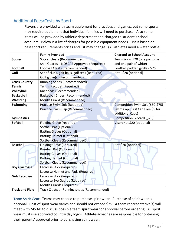## <span id="page-4-0"></span>Additional Fees/Costs by Sport:

Players are provided with team equipment for practices and games, but some sports may require equipment that individual families will need to purchase. Also some items will be provided by athletic department and charged to student's school accounts. Below is a list of charges for possible equipment needs. List is based on past sport requirements prices and list may change: (All athletes need a water bottle)

|                                                   | <b>Family Provided</b>                         | <b>Charged to School Account</b>  |
|---------------------------------------------------|------------------------------------------------|-----------------------------------|
| <b>Soccer</b>                                     | Soccer cleats (Recommended)                    | Team Socks \$20 (one pair blue    |
|                                                   | Shin Guards - NOSCAE Approved (Required)       | and one pair of white)            |
| <b>Football</b>                                   | <b>Football Cleats (Recommended)</b>           | Football padded girdle - \$25     |
| Golf                                              | Set of clubs, golf balls, golf tees (Required) | Hat - \$20 (optional)             |
|                                                   | Golf glove(s) (Recommended)                    |                                   |
| <b>Cross Country</b>                              | <b>Running Shoes (Recommended)</b>             |                                   |
| <b>Tennis</b>                                     | <b>Tennis Racquet (Required)</b>               |                                   |
| Volleyball                                        | Kneepads (Recommended)                         |                                   |
| <b>Basketball</b>                                 | <b>Basketball Shoes (Recommended)</b>          |                                   |
| <b>Wrestling</b>                                  | Mouth Guard (Recommended)                      |                                   |
| Swimming                                          | <b>Practice Swim Suit (Required)</b>           | Competition Swim Suit (\$50-\$75) |
|                                                   | Practice Swim Cap (Recommended)                | Swim Cap (First Cap Free \$5 for  |
|                                                   |                                                | additional Caps)                  |
| <b>Gymnastics</b>                                 |                                                | Competition Leotard (\$25)        |
| <b>Softball</b>                                   | <b>Fielding Glove (required)</b>               | Visor/Hat \$20 (optional)         |
|                                                   | Softball Bat (Optional)                        |                                   |
|                                                   | <b>Batting Gloves (Optional)</b>               |                                   |
|                                                   | <b>Batting Helmet (Optional)</b>               |                                   |
|                                                   | Softball Cleats (Recommended)                  |                                   |
| <b>Baseball</b>                                   | <b>Fielding Glove (Required)</b>               | Hat \$20 (optional)               |
|                                                   | <b>Baseball Bat (Optional)</b>                 |                                   |
|                                                   | <b>Batting Gloves (Optional)</b>               |                                   |
|                                                   | <b>Batting Helmet (Optional)</b>               |                                   |
|                                                   | <b>Softball Cleats (Recommended)</b>           |                                   |
| Lacrosse Stick (Required)<br><b>Boys Lacrosse</b> |                                                |                                   |
| Lacrosse Helmet and Pads (Required)               |                                                |                                   |
| <b>Girls Lacrosse</b>                             | Lacrosse Stick (Required)                      |                                   |
|                                                   | Lacrosse Eye Guards (Required)                 |                                   |
|                                                   | <b>Mouth Guards (Required)</b>                 |                                   |
| <b>Track and Field</b>                            | Track Cleats or Running shoes (Recommended)    |                                   |

<span id="page-4-1"></span>Team Spirit Gear:Teams may choose to purchase spirit wear. Purchase of spirit wear is optional. Cost of spirit wear varies and should not exceed \$25. A team representative(s) will meet with MS AD to discuss possible team spirit wear for approval before ordering. All spirit wear must use approved country day logos. Athletes/coaches are responsible for obtaining their parents' approval prior to purchasing spirit wear.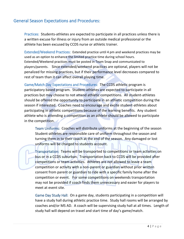#### <span id="page-5-1"></span><span id="page-5-0"></span>General Season Expectations and Procedures:

Practices:Students-athletes are expected to participate in all practices unless there is a written excuse for illness or injury from an outside medical professional or the athlete has been excused by CCDS nurse or athletic trainer.

<span id="page-5-2"></span>Extended/Weekend Practices:Extended practice until 4 pm and weekend practices may be used as an option to enhance the limited practice time during school hours. Extended/Weekend practices must be posted in Team Snap and communicated to players/parents. Since extended/weekend practices are optional, players will not be penalized for missing practices, but if their performance level decreases compared to rest of team than it can affect overall playing time.

<span id="page-5-3"></span>Game/Match Day Expectations and Procedures:The CCDS athletic program is participatory based program. Student-athletes are expected to participate in all practices but may choose to not attend athletic competitions. All student-athletes should be offered the opportunity to participate in an athletic competition during the season if interested. Coaches need to encourage and excite student-athletes about participating in athletic competitions because of the learning benefits. Any student athlete who is attending a competition as an athlete should be allowed to participate in the competition.

<span id="page-5-4"></span>Team Uniforms:Coaches will distribute uniforms at the beginning of the season Student-athletes are responsible care of uniform throughout the season and turning them in to their coach at the end of the season. Any damaged or lost uniforms will be charged to students account.

<span id="page-5-5"></span>Transportation:Teams will be transported to competitions or team activities on bus or in a CCDS suburban. Transportation back to CCDS will be provided after competitions or team activities. Athletes are not allowed to leave a team competition or activity with a non-parent or guardian without prior written consent from parent or guardian to ride with a specific family home after the competition or event. For some competitions on weekends transportation may not be provided if coach finds them unnecessary and easier for players to meet at event site.

<span id="page-5-6"></span>Game Day Study Hall: On a game day, students participating in a competition will have a study hall during athletic practice time. Study hall rooms will be arranged by coaches and/or MS AD. A coach will be supervising study hall at all times. Length of study hall will depend on travel and start time of day's game/match.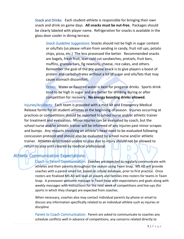<span id="page-6-1"></span><span id="page-6-0"></span>Snack and Drinks:Each student-athlete is responsible for bringing their own snack and drink on game days. **All snacks must be nut-free.** Packages should be clearly labeled with player name. Refrigeration for snacks is available in the glass door cooler in dining terrace.

*Snack Guideline Suggestions:* Snacks should not be high in sugar content or oils/fats (so please refrain from sending in candy, fruit roll ups, potato chips, pizza, etc.) The less processed the better. Recommended snacks are bagels, fresh fruit, lean cold cut sandwiches, pretzels, fruit bars, muffins, granola bars, fig newtons, cheese, rice cakes, and others. Remember the goal of the pre-game snack is to give players a boost of protein and carbohydrates without a lot of sugar and oils/fats that may cause stomach discomfort.

*Drinks:*Water or flavored water is best for pregame drinks. Sports drink tend to be high in sugar and are better for drinking during or after competition for recovery. **No energy boosting drinks allowed.**

<span id="page-6-3"></span><span id="page-6-2"></span>Injuries/Accidents:Each team is provided with a med kit and Emergency Medical Release forms for all student-athletes at the beginning of season. Injuries occurring at practices or competitions should be reported to school nurse and/or athletic trainer for treatment and evaluation. Minor injuries can be evaluated by coach, but the school nurse and/or athletic trainer will be informed of any injuries past minor scrapes and bumps. Any impacts involving an athlete's head need to be evaluated following concussion protocol and should also be evaluated by school nurse and/or athletic trainer. Athletes determined unable to play due to injury should not be allowed to return to play until cleared by medical professional.

## <span id="page-6-5"></span><span id="page-6-4"></span>Athletic Communication Expectations:

Coach to Parent Communication:Coaches are expected to regularly communicate with athletes and their parents throughout the season using Team Snap. MS AD will provide coaches with a parent email list, based on school database, prior to first practice. Once rosters are finalized MS AD will load all players and families into rosters for teams in Team Snap. A preseason welcome message in Team Snap with expectations and goals along with weekly messages with instructions for the next week of competitions and line-ups (for sports in which they change) are expected from coaches.

When necessary, coaches also may contact individual parents by phone or email to discuss any information specifically related to an individual athlete such as injuries or discipline

<span id="page-6-6"></span>Parent to Coach Communication: Parent are asked to communicate to coaches any schedule conflicts well in advance of competitions, any concerns related directly to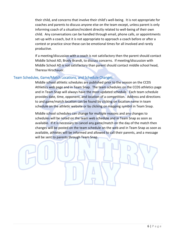their child, and concerns that involve their child's well-being. It is not appropriate for coaches and parents to discuss anyone else on the team except, unless parent is only informing coach of a situation/incident directly related to well-being of their own child. Any conversations can be handled through email, phone calls, or appointments set-up with a coach, but it is not appropriate to approach a coach before or after a contest or practice since these can be emotional times for all involved and rarely productive.

If a meeting/discussion with a coach is not satisfactory then the parent should contact Middle School AD, Brady Brandt, to discuss concerns. If meeting/discussion with Middle School AD is not satisfactory than parent should contact middle school head, Theresa Hirschauer.

#### <span id="page-7-0"></span>Team Schedules, Game/Match Locations, and Schedule Changes:

Middle school athletic schedules are published prior to the season on the CCDS Athletics web page and in Team Snap. The team schedules on the CCDS athletics page and in Team Snap will always have the most updated schedule. Each team schedule provides date, time, opponent, and location of a competition. Address and directions to and game/match location can be found by clicking on location name in team schedule on the athletic website or by clicking on mapping symbol in Team Snap.

Middle school schedules can change for multiple reasons and any changes to schedules will be noted on the team web schedule and in Team Snap as soon as available. If it is necessary to cancel any game/match on the day of the match then changes will be posted on the team schedule on the web and in Team Snap as soon as available, athletes will be informed and allowed to call their parents, and a message will be sent to parents through Team Snap.

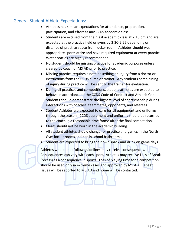#### <span id="page-8-0"></span>General Student Athlete Expectations:

- Athletics has similar expectations for attendance, preparation, participation, and effort as any CCDS academic class.
- Students are excused from their last academic class at 2:15 pm and are expected at the practice field or gyms by 2:20-2:25 depending on distance of practice space from locker room. Athletes should wear appropriate sports attire and have required equipment at every practice. Water bottles are highly recommended.
- No student should be missing practice for academic purposes unless cleared by coach or MS AD prior to practice.
- Missing practice requires a note describing an injury from a doctor or instructions from the CCDS nurse or trainer. Any students complaining of injury during practice will be sent to the trainer for evaluation.
- During all practices and competitions, student-athletes are expected to behave in accordance to the CCDS Code of Conduct and Athletic Code. Students should demonstrate the highest level of sportsmanship during interactions with coaches, teammates, opponents, and referees.
- Student Athletes are expected to care for all equipment and uniforms through the season. CCDS equipment and uniforms should be returned to the coach in a reasonable time frame after the final competition.
- Cleats should not be worn in the academic building.
- All student athletes should change for practice and games in the North Gym locker rooms and not in school bathrooms.
- Student are expected to bring their own snack and drink on game days.

Athletes who do not follow guidelines may receive consequences. Consequences can vary with each sport. Athletes may receive Loss of Break (recess) as a consequence in sports. Loss of playing time for a competition should be used only in extreme cases and approved by MS AD. Repeat issues will be reported to MS AD and home will be contacted.